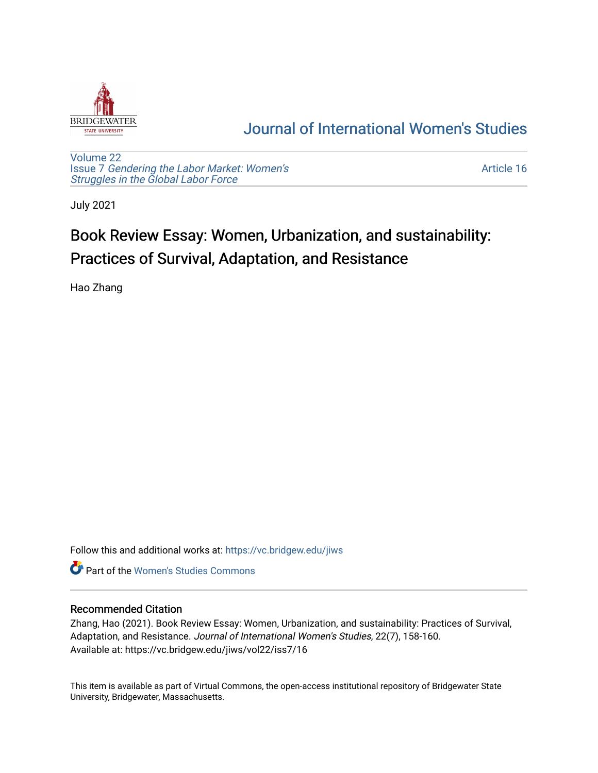

## [Journal of International Women's Studies](https://vc.bridgew.edu/jiws)

[Volume 22](https://vc.bridgew.edu/jiws/vol22) Issue 7 [Gendering the Labor Market: Women's](https://vc.bridgew.edu/jiws/vol22/iss7) [Struggles in the Global Labor Force](https://vc.bridgew.edu/jiws/vol22/iss7)

[Article 16](https://vc.bridgew.edu/jiws/vol22/iss7/16) 

July 2021

# Book Review Essay: Women, Urbanization, and sustainability: Practices of Survival, Adaptation, and Resistance

Hao Zhang

Follow this and additional works at: [https://vc.bridgew.edu/jiws](https://vc.bridgew.edu/jiws?utm_source=vc.bridgew.edu%2Fjiws%2Fvol22%2Fiss7%2F16&utm_medium=PDF&utm_campaign=PDFCoverPages)

**C** Part of the Women's Studies Commons

#### Recommended Citation

Zhang, Hao (2021). Book Review Essay: Women, Urbanization, and sustainability: Practices of Survival, Adaptation, and Resistance. Journal of International Women's Studies, 22(7), 158-160. Available at: https://vc.bridgew.edu/jiws/vol22/iss7/16

This item is available as part of Virtual Commons, the open-access institutional repository of Bridgewater State University, Bridgewater, Massachusetts.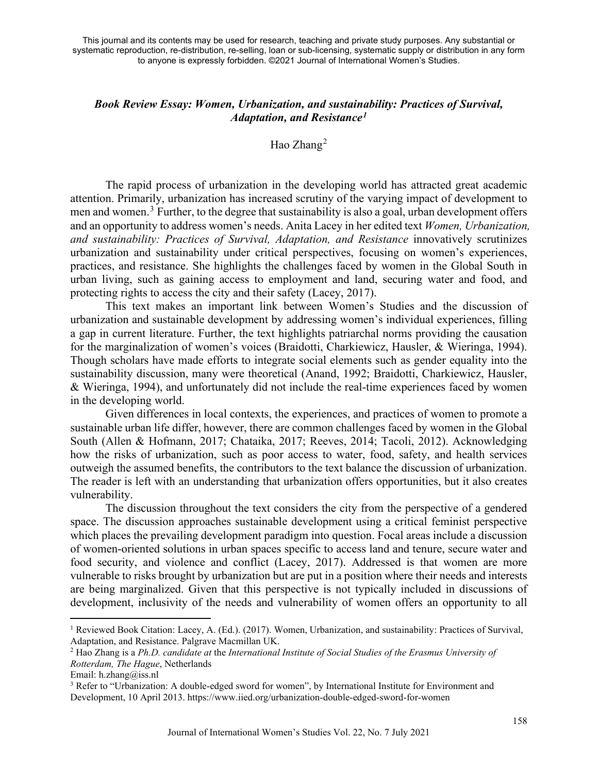#### *Book Review Essay: Women, Urbanization, and sustainability: Practices of Survival, Adaptation, and Resistance[1](#page-1-0)*

### Hao Zhang<sup>[2](#page-1-1)</sup>

The rapid process of urbanization in the developing world has attracted great academic attention. Primarily, urbanization has increased scrutiny of the varying impact of development to men and women.<sup>[3](#page-1-2)</sup> Further, to the degree that sustainability is also a goal, urban development offers and an opportunity to address women's needs. Anita Lacey in her edited text *Women, Urbanization, and sustainability: Practices of Survival, Adaptation, and Resistance* innovatively scrutinizes urbanization and sustainability under critical perspectives, focusing on women's experiences, practices, and resistance. She highlights the challenges faced by women in the Global South in urban living, such as gaining access to employment and land, securing water and food, and protecting rights to access the city and their safety (Lacey, 2017).

This text makes an important link between Women's Studies and the discussion of urbanization and sustainable development by addressing women's individual experiences, filling a gap in current literature. Further, the text highlights patriarchal norms providing the causation for the marginalization of women's voices (Braidotti, Charkiewicz, Hausler, & Wieringa, 1994). Though scholars have made efforts to integrate social elements such as gender equality into the sustainability discussion, many were theoretical (Anand, 1992; Braidotti, Charkiewicz, Hausler, & Wieringa, 1994), and unfortunately did not include the real-time experiences faced by women in the developing world.

Given differences in local contexts, the experiences, and practices of women to promote a sustainable urban life differ, however, there are common challenges faced by women in the Global South (Allen & Hofmann, 2017; Chataika, 2017; Reeves, 2014; Tacoli, 2012). Acknowledging how the risks of urbanization, such as poor access to water, food, safety, and health services outweigh the assumed benefits, the contributors to the text balance the discussion of urbanization. The reader is left with an understanding that urbanization offers opportunities, but it also creates vulnerability.

The discussion throughout the text considers the city from the perspective of a gendered space. The discussion approaches sustainable development using a critical feminist perspective which places the prevailing development paradigm into question. Focal areas include a discussion of women-oriented solutions in urban spaces specific to access land and tenure, secure water and food security, and violence and conflict (Lacey, 2017). Addressed is that women are more vulnerable to risks brought by urbanization but are put in a position where their needs and interests are being marginalized. Given that this perspective is not typically included in discussions of development, inclusivity of the needs and vulnerability of women offers an opportunity to all

<span id="page-1-0"></span><sup>&</sup>lt;sup>1</sup> Reviewed Book Citation: Lacey, A. (Ed.). (2017). Women, Urbanization, and sustainability: Practices of Survival, Adaptation, and Resistance. Palgrave Macmillan UK.

<span id="page-1-1"></span><sup>2</sup> Hao Zhang is a *Ph.D. candidate at* the *International Institute of Social Studies of the Erasmus University of Rotterdam, The Hague*, Netherlands

Email: h.zhang@iss.nl

<span id="page-1-2"></span><sup>&</sup>lt;sup>3</sup> Refer to "Urbanization: A double-edged sword for women", by International Institute for Environment and Development, 10 April 2013. https://www.iied.org/urbanization-double-edged-sword-for-women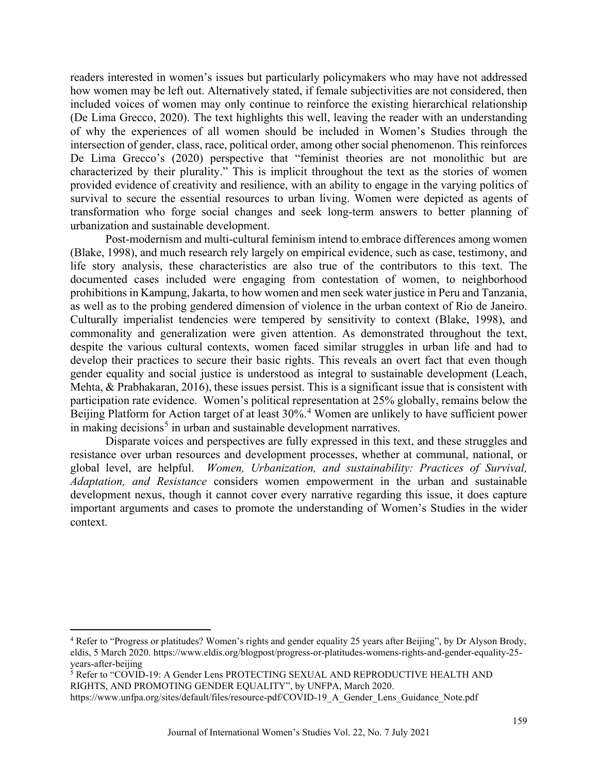readers interested in women's issues but particularly policymakers who may have not addressed how women may be left out. Alternatively stated, if female subjectivities are not considered, then included voices of women may only continue to reinforce the existing hierarchical relationship (De Lima Grecco, 2020). The text highlights this well, leaving the reader with an understanding of why the experiences of all women should be included in Women's Studies through the intersection of gender, class, race, political order, among other social phenomenon. This reinforces De Lima Grecco's (2020) perspective that "feminist theories are not monolithic but are characterized by their plurality." This is implicit throughout the text as the stories of women provided evidence of creativity and resilience, with an ability to engage in the varying politics of survival to secure the essential resources to urban living. Women were depicted as agents of transformation who forge social changes and seek long-term answers to better planning of urbanization and sustainable development.

Post-modernism and multi-cultural feminism intend to embrace differences among women (Blake, 1998), and much research rely largely on empirical evidence, such as case, testimony, and life story analysis, these characteristics are also true of the contributors to this text. The documented cases included were engaging from contestation of women, to neighborhood prohibitions in Kampung, Jakarta, to how women and men seek water justice in Peru and Tanzania, as well as to the probing gendered dimension of violence in the urban context of Rio de Janeiro. Culturally imperialist tendencies were tempered by sensitivity to context (Blake, 1998), and commonality and generalization were given attention. As demonstrated throughout the text, despite the various cultural contexts, women faced similar struggles in urban life and had to develop their practices to secure their basic rights. This reveals an overt fact that even though gender equality and social justice is understood as integral to sustainable development (Leach, Mehta, & Prabhakaran, 2016), these issues persist. This is a significant issue that is consistent with participation rate evidence. Women's political representation at 25% globally, remains below the Beijing Platform for Action target of at least 30%.<sup>[4](#page-2-0)</sup> Women are unlikely to have sufficient power in making decisions<sup>[5](#page-2-1)</sup> in urban and sustainable development narratives.

Disparate voices and perspectives are fully expressed in this text, and these struggles and resistance over urban resources and development processes, whether at communal, national, or global level, are helpful. *Women, Urbanization, and sustainability: Practices of Survival, Adaptation, and Resistance* considers women empowerment in the urban and sustainable development nexus, though it cannot cover every narrative regarding this issue, it does capture important arguments and cases to promote the understanding of Women's Studies in the wider context.

<span id="page-2-1"></span><sup>5</sup> Refer to "COVID-19: A Gender Lens PROTECTING SEXUAL AND REPRODUCTIVE HEALTH AND RIGHTS, AND PROMOTING GENDER EQUALITY", by UNFPA, March 2020.

<span id="page-2-0"></span><sup>4</sup> Refer to "Progress or platitudes? Women's rights and gender equality 25 years after Beijing", by Dr Alyson Brody, eldis, 5 March 2020. https://www.eldis.org/blogpost/progress-or-platitudes-womens-rights-and-gender-equality-25 years-after-beijing

https://www.unfpa.org/sites/default/files/resource-pdf/COVID-19\_A\_Gender\_Lens\_Guidance\_Note.pdf